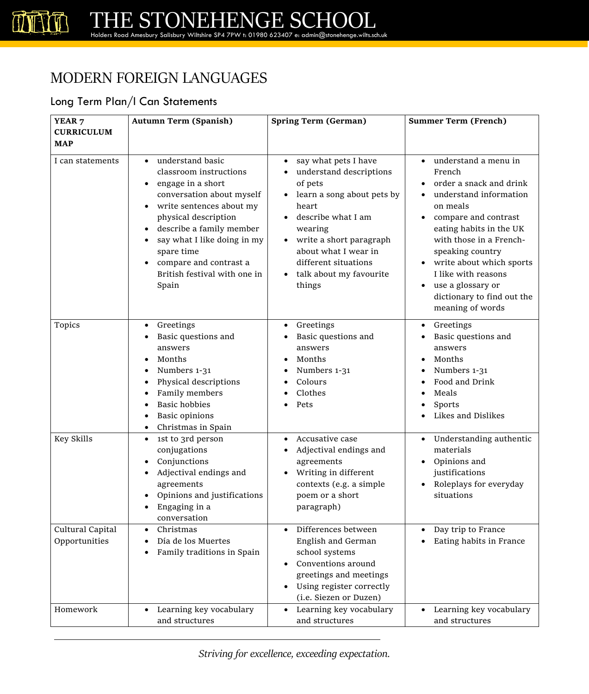#### MODERN FOREIGN LANGUAGES

#### Long Term Plan/I Can Statements

| YEAR <sub>7</sub>                 | <b>Autumn Term (Spanish)</b>                                                                                                                                                                                                                                                                                                                                  | <b>Spring Term (German)</b>                                                                                                                                                                                                                        | <b>Summer Term (French)</b>                                                                                                                                                                                                                                                                                                              |
|-----------------------------------|---------------------------------------------------------------------------------------------------------------------------------------------------------------------------------------------------------------------------------------------------------------------------------------------------------------------------------------------------------------|----------------------------------------------------------------------------------------------------------------------------------------------------------------------------------------------------------------------------------------------------|------------------------------------------------------------------------------------------------------------------------------------------------------------------------------------------------------------------------------------------------------------------------------------------------------------------------------------------|
| <b>CURRICULUM</b><br><b>MAP</b>   |                                                                                                                                                                                                                                                                                                                                                               |                                                                                                                                                                                                                                                    |                                                                                                                                                                                                                                                                                                                                          |
| I can statements                  | understand basic<br>$\bullet$<br>classroom instructions<br>engage in a short<br>$\bullet$<br>conversation about myself<br>write sentences about my<br>$\bullet$<br>physical description<br>describe a family member<br>$\bullet$<br>say what I like doing in my<br>spare time<br>compare and contrast a<br>$\bullet$<br>British festival with one in<br>Spain | say what pets I have<br>understand descriptions<br>of pets<br>learn a song about pets by<br>heart<br>describe what I am<br>wearing<br>write a short paragraph<br>about what I wear in<br>different situations<br>talk about my favourite<br>things | understand a menu in<br>French<br>order a snack and drink<br>understand information<br>$\bullet$<br>on meals<br>compare and contrast<br>eating habits in the UK<br>with those in a French-<br>speaking country<br>write about which sports<br>I like with reasons<br>use a glossary or<br>dictionary to find out the<br>meaning of words |
| Topics                            | Greetings<br>$\bullet$<br>Basic questions and<br>answers<br>Months<br>$\bullet$<br>Numbers 1-31<br>Physical descriptions<br>Family members<br><b>Basic hobbies</b><br><b>Basic opinions</b><br>Christmas in Spain                                                                                                                                             | Greetings<br>Basic questions and<br>answers<br>Months<br>Numbers 1-31<br>Colours<br>Clothes<br>Pets                                                                                                                                                | Greetings<br>$\bullet$<br>Basic questions and<br>answers<br>Months<br>Numbers 1-31<br>Food and Drink<br>Meals<br>Sports<br>Likes and Dislikes                                                                                                                                                                                            |
| Key Skills                        | 1st to 3rd person<br>$\bullet$<br>conjugations<br>Conjunctions<br>Adjectival endings and<br>agreements<br>Opinions and justifications<br>Engaging in a<br>conversation                                                                                                                                                                                        | Accusative case<br>$\bullet$<br>Adjectival endings and<br>agreements<br>Writing in different<br>contexts (e.g. a simple<br>poem or a short<br>paragraph)                                                                                           | Understanding authentic<br>materials<br>Opinions and<br>justifications<br>Roleplays for everyday<br>situations                                                                                                                                                                                                                           |
| Cultural Capital<br>Opportunities | Christmas<br>$\bullet$<br>Día de los Muertes<br>Family traditions in Spain                                                                                                                                                                                                                                                                                    | Differences between<br>$\bullet$<br>English and German<br>school systems<br>Conventions around<br>greetings and meetings<br>Using register correctly<br>(i.e. Siezen or Duzen)                                                                     | Day trip to France<br>Eating habits in France                                                                                                                                                                                                                                                                                            |
| Homework                          | Learning key vocabulary<br>and structures                                                                                                                                                                                                                                                                                                                     | Learning key vocabulary<br>and structures                                                                                                                                                                                                          | Learning key vocabulary<br>and structures                                                                                                                                                                                                                                                                                                |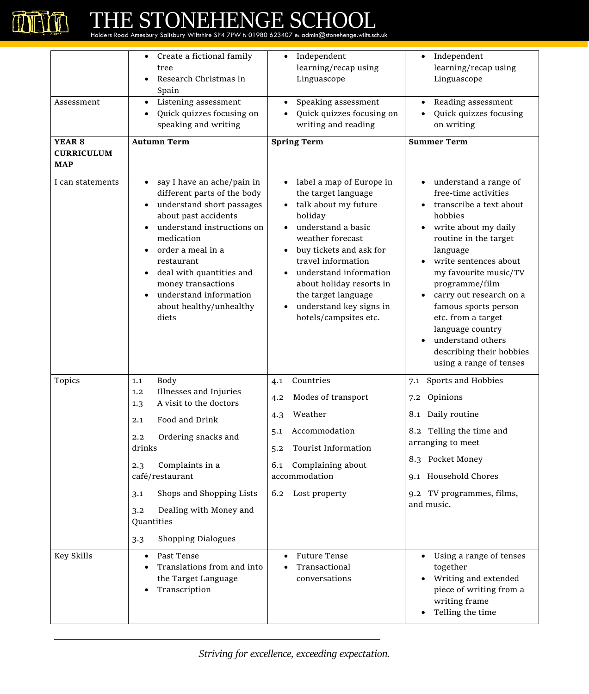

| Assessment<br>YEAR <sub>8</sub><br><b>CURRICULUM</b><br><b>MAP</b> | Create a fictional family<br>tree<br>Research Christmas in<br>Spain<br>Listening assessment<br>$\bullet$<br>Quick quizzes focusing on<br>$\bullet$<br>speaking and writing<br><b>Autumn Term</b>                                                                                                                                        | Independent<br>$\bullet$<br>learning/recap using<br>Linguascope<br>Speaking assessment<br>Quick quizzes focusing on<br>writing and reading<br><b>Spring Term</b>                                                                                                                                                                                      | Independent<br>$\bullet$<br>learning/recap using<br>Linguascope<br>Reading assessment<br>Quick quizzes focusing<br>on writing<br><b>Summer Term</b>                                                                                                                                                                                                                                           |
|--------------------------------------------------------------------|-----------------------------------------------------------------------------------------------------------------------------------------------------------------------------------------------------------------------------------------------------------------------------------------------------------------------------------------|-------------------------------------------------------------------------------------------------------------------------------------------------------------------------------------------------------------------------------------------------------------------------------------------------------------------------------------------------------|-----------------------------------------------------------------------------------------------------------------------------------------------------------------------------------------------------------------------------------------------------------------------------------------------------------------------------------------------------------------------------------------------|
| I can statements                                                   | say I have an ache/pain in<br>$\bullet$<br>different parts of the body<br>understand short passages<br>about past accidents<br>understand instructions on<br>medication<br>order a meal in a<br>restaurant<br>deal with quantities and<br>$\bullet$<br>money transactions<br>understand information<br>about healthy/unhealthy<br>diets | label a map of Europe in<br>$\bullet$<br>the target language<br>talk about my future<br>holiday<br>understand a basic<br>weather forecast<br>buy tickets and ask for<br>travel information<br>understand information<br>$\bullet$<br>about holiday resorts in<br>the target language<br>understand key signs in<br>$\bullet$<br>hotels/campsites etc. | understand a range of<br>free-time activities<br>transcribe a text about<br>hobbies<br>write about my daily<br>routine in the target<br>language<br>write sentences about<br>my favourite music/TV<br>programme/film<br>carry out research on a<br>famous sports person<br>etc. from a target<br>language country<br>understand others<br>describing their hobbies<br>using a range of tenses |
| Topics                                                             | <b>Body</b><br>1.1<br>Illnesses and Injuries<br>1,2<br>A visit to the doctors<br>1.3<br>Food and Drink<br>2.1<br>Ordering snacks and<br>2.2<br>drinks<br>Complaints in a<br>2.3<br>café/restaurant<br>Shops and Shopping Lists<br>3.1<br>Dealing with Money and<br>3.2<br>Quantities<br><b>Shopping Dialogues</b><br>3.3                | Countries<br>4.1<br>Modes of transport<br>4.2<br>Weather<br>4.3<br>Accommodation<br>5.1<br><b>Tourist Information</b><br>5.2<br>Complaining about<br>6.1<br>accommodation<br>Lost property<br>6.2                                                                                                                                                     | 7.1 Sports and Hobbies<br>7.2 Opinions<br>8.1 Daily routine<br>8.2 Telling the time and<br>arranging to meet<br>8.3 Pocket Money<br>9.1 Household Chores<br>9.2 TV programmes, films,<br>and music.                                                                                                                                                                                           |
| Key Skills                                                         | Past Tense<br>$\bullet$<br>Translations from and into<br>the Target Language<br>Transcription                                                                                                                                                                                                                                           | <b>Future Tense</b><br>Transactional<br>conversations                                                                                                                                                                                                                                                                                                 | Using a range of tenses<br>together<br>Writing and extended<br>piece of writing from a<br>writing frame<br>Telling the time                                                                                                                                                                                                                                                                   |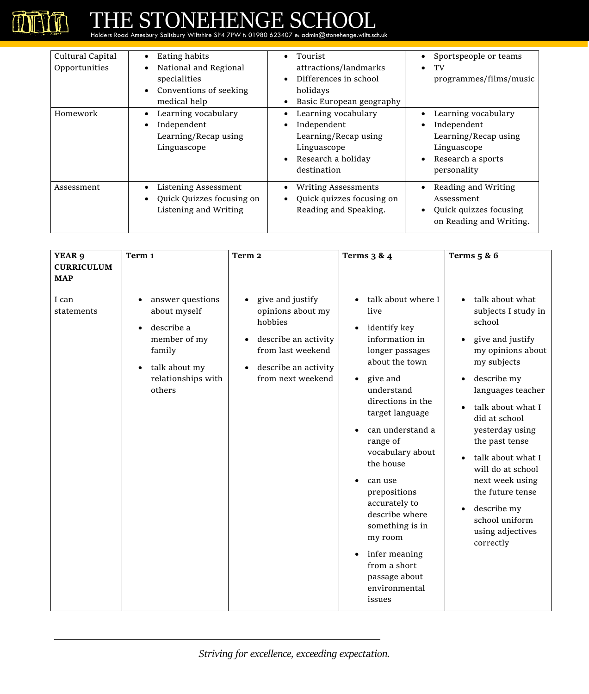| Cultural Capital<br>Opportunities | Eating habits<br>$\bullet$<br>National and Regional<br>specialities<br>Conventions of seeking<br>medical help | Tourist<br>attractions/landmarks<br>Differences in school<br>holidays<br>Basic European geography              | Sportspeople or teams<br>TV<br>$\bullet$<br>programmes/films/music                                            |
|-----------------------------------|---------------------------------------------------------------------------------------------------------------|----------------------------------------------------------------------------------------------------------------|---------------------------------------------------------------------------------------------------------------|
| Homework                          | Learning vocabulary<br>Independent<br>Learning/Recap using<br>Linguascope                                     | Learning vocabulary<br>Independent<br>Learning/Recap using<br>Linguascope<br>Research a holiday<br>destination | Learning vocabulary<br>Independent<br>Learning/Recap using<br>Linguascope<br>Research a sports<br>personality |
| Assessment                        | Listening Assessment<br>Quick Quizzes focusing on<br>Listening and Writing                                    | <b>Writing Assessments</b><br>Quick quizzes focusing on<br>Reading and Speaking.                               | Reading and Writing<br>Assessment<br>Quick quizzes focusing<br>on Reading and Writing.                        |

| YEAR 9<br><b>CURRICULUM</b> | Term 1                                                                                                                                                           | Term <sub>2</sub>                                                                                                                                                                 | <b>Terms 3 &amp; 4</b>                                                                                                                                                                                                                                                                                                                                                                                                                  | Terms $5 & 6$                                                                                                                                                                                                                                                                                                                                                                                                     |
|-----------------------------|------------------------------------------------------------------------------------------------------------------------------------------------------------------|-----------------------------------------------------------------------------------------------------------------------------------------------------------------------------------|-----------------------------------------------------------------------------------------------------------------------------------------------------------------------------------------------------------------------------------------------------------------------------------------------------------------------------------------------------------------------------------------------------------------------------------------|-------------------------------------------------------------------------------------------------------------------------------------------------------------------------------------------------------------------------------------------------------------------------------------------------------------------------------------------------------------------------------------------------------------------|
| <b>MAP</b>                  |                                                                                                                                                                  |                                                                                                                                                                                   |                                                                                                                                                                                                                                                                                                                                                                                                                                         |                                                                                                                                                                                                                                                                                                                                                                                                                   |
| I can<br>statements         | answer questions<br>$\bullet$<br>about myself<br>describe a<br>$\bullet$<br>member of my<br>family<br>talk about my<br>$\bullet$<br>relationships with<br>others | give and justify<br>$\bullet$<br>opinions about my<br>hobbies<br>describe an activity<br>$\bullet$<br>from last weekend<br>describe an activity<br>$\bullet$<br>from next weekend | talk about where I<br>$\bullet$<br>live<br>identify key<br>information in<br>longer passages<br>about the town<br>give and<br>$\bullet$<br>understand<br>directions in the<br>target language<br>can understand a<br>range of<br>vocabulary about<br>the house<br>can use<br>prepositions<br>accurately to<br>describe where<br>something is in<br>my room<br>infer meaning<br>from a short<br>passage about<br>environmental<br>issues | talk about what<br>$\bullet$<br>subjects I study in<br>school<br>give and justify<br>my opinions about<br>my subjects<br>describe my<br>languages teacher<br>talk about what I<br>$\bullet$<br>did at school<br>yesterday using<br>the past tense<br>talk about what I<br>will do at school<br>next week using<br>the future tense<br>describe my<br>$\bullet$<br>school uniform<br>using adjectives<br>correctly |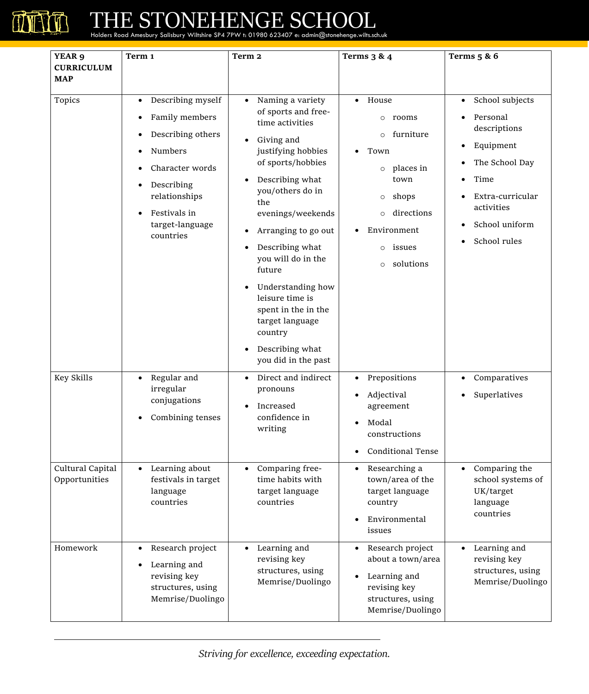

| YEAR 9                          | Term 1                                                                                                                                                                                                                                                           | Term 2                                                                                                                                                                                                                                                                                                                                                                                                                                                                      | <b>Terms 3 &amp; 4</b>                                                                                                                                                                             | <b>Terms</b> 5 & 6                                                                                                                                                                                              |
|---------------------------------|------------------------------------------------------------------------------------------------------------------------------------------------------------------------------------------------------------------------------------------------------------------|-----------------------------------------------------------------------------------------------------------------------------------------------------------------------------------------------------------------------------------------------------------------------------------------------------------------------------------------------------------------------------------------------------------------------------------------------------------------------------|----------------------------------------------------------------------------------------------------------------------------------------------------------------------------------------------------|-----------------------------------------------------------------------------------------------------------------------------------------------------------------------------------------------------------------|
| <b>CURRICULUM</b><br><b>MAP</b> |                                                                                                                                                                                                                                                                  |                                                                                                                                                                                                                                                                                                                                                                                                                                                                             |                                                                                                                                                                                                    |                                                                                                                                                                                                                 |
| Topics                          | Describing myself<br>$\bullet$<br>Family members<br>$\bullet$<br>Describing others<br>$\bullet$<br>Numbers<br>$\bullet$<br>Character words<br>$\bullet$<br>Describing<br>$\bullet$<br>relationships<br>Festivals in<br>$\bullet$<br>target-language<br>countries | Naming a variety<br>$\bullet$<br>of sports and free-<br>time activities<br>Giving and<br>$\bullet$<br>justifying hobbies<br>of sports/hobbies<br>Describing what<br>$\bullet$<br>you/others do in<br>the<br>evenings/weekends<br>Arranging to go out<br>$\bullet$<br>Describing what<br>$\bullet$<br>you will do in the<br>future<br>Understanding how<br>$\bullet$<br>leisure time is<br>spent in the in the<br>target language<br>country<br>Describing what<br>$\bullet$ | House<br>rooms<br>$\circ$<br>furniture<br>$\circ$<br>Town<br>places in<br>$\circ$<br>town<br>shops<br>$\circ$<br>directions<br>$\circ$<br>Environment<br>issues<br>$\circ$<br>solutions<br>$\circ$ | School subjects<br>$\bullet$<br>Personal<br>descriptions<br>Equipment<br>$\bullet$<br>The School Day<br>$\bullet$<br>Time<br>٠<br>Extra-curricular<br>activities<br>School uniform<br>School rules<br>$\bullet$ |
| Key Skills<br>Cultural Capital  | Regular and<br>$\bullet$<br>irregular<br>conjugations<br>Combining tenses<br>٠<br>Learning about<br>$\bullet$                                                                                                                                                    | you did in the past<br>Direct and indirect<br>$\bullet$<br>pronouns<br>Increased<br>٠<br>confidence in<br>writing<br>Comparing free-<br>$\bullet$                                                                                                                                                                                                                                                                                                                           | Prepositions<br>$\bullet$<br>Adjectival<br>$\bullet$<br>agreement<br>Modal<br>constructions<br><b>Conditional Tense</b><br>Researching a<br>$\bullet$                                              | Comparatives<br>$\bullet$<br>Superlatives<br>$\bullet$<br>Comparing the<br>$\bullet$                                                                                                                            |
| Opportunities                   | festivals in target<br>language<br>countries                                                                                                                                                                                                                     | time habits with<br>target language<br>countries                                                                                                                                                                                                                                                                                                                                                                                                                            | town/area of the<br>target language<br>country<br>Environmental<br>issues                                                                                                                          | school systems of<br>UK/target<br>language<br>countries                                                                                                                                                         |
| Homework                        | Research project<br>$\bullet$<br>Learning and<br>$\bullet$<br>revising key<br>structures, using<br>Memrise/Duolingo                                                                                                                                              | Learning and<br>$\bullet$<br>revising key<br>structures, using<br>Memrise/Duolingo                                                                                                                                                                                                                                                                                                                                                                                          | Research project<br>about a town/area<br>Learning and<br>revising key<br>structures, using<br>Memrise/Duolingo                                                                                     | Learning and<br>revising key<br>structures, using<br>Memrise/Duolingo                                                                                                                                           |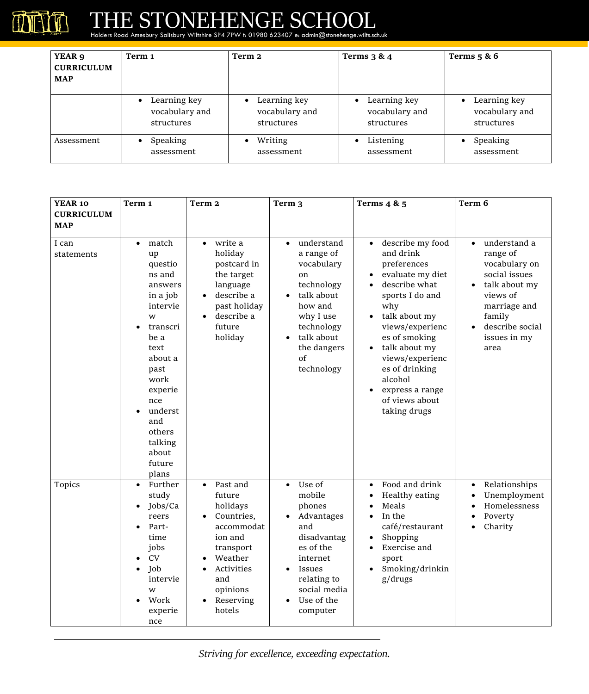

| YEAR 9<br><b>CURRICULUM</b><br><b>MAP</b> | Term 1                                                    | Term 2                                                    | <b>Terms 3 &amp; 4</b>                                    | Terms $5 & 6$                                             |
|-------------------------------------------|-----------------------------------------------------------|-----------------------------------------------------------|-----------------------------------------------------------|-----------------------------------------------------------|
|                                           | Learning key<br>$\bullet$<br>vocabulary and<br>structures | Learning key<br>$\bullet$<br>vocabulary and<br>structures | Learning key<br>$\bullet$<br>vocabulary and<br>structures | Learning key<br>$\bullet$<br>vocabulary and<br>structures |
| Assessment                                | Speaking<br>$\bullet$<br>assessment                       | Writing<br>assessment                                     | Listening<br>assessment                                   | Speaking<br>$\bullet$<br>assessment                       |

| YEAR 10             | Term 1                                                                                                                                                                                                                            | Term <sub>2</sub>                                                                                                                                                   | Term <sub>3</sub>                                                                                                                                                                                      | Terms $4 & 5$                                                                                                                                                                                                                                                                          | Term 6                                                                                                                                                                    |
|---------------------|-----------------------------------------------------------------------------------------------------------------------------------------------------------------------------------------------------------------------------------|---------------------------------------------------------------------------------------------------------------------------------------------------------------------|--------------------------------------------------------------------------------------------------------------------------------------------------------------------------------------------------------|----------------------------------------------------------------------------------------------------------------------------------------------------------------------------------------------------------------------------------------------------------------------------------------|---------------------------------------------------------------------------------------------------------------------------------------------------------------------------|
| <b>CURRICULUM</b>   |                                                                                                                                                                                                                                   |                                                                                                                                                                     |                                                                                                                                                                                                        |                                                                                                                                                                                                                                                                                        |                                                                                                                                                                           |
| <b>MAP</b>          |                                                                                                                                                                                                                                   |                                                                                                                                                                     |                                                                                                                                                                                                        |                                                                                                                                                                                                                                                                                        |                                                                                                                                                                           |
| I can<br>statements | match<br>$\bullet$<br>up<br>questio<br>ns and<br>answers<br>in a job<br>intervie<br>W<br>transcri<br>be a<br>text<br>about a<br>past<br>work<br>experie<br>nce<br>underst<br>and<br>others<br>talking<br>about<br>future<br>plans | write a<br>$\bullet$<br>holiday<br>postcard in<br>the target<br>language<br>describe a<br>$\bullet$<br>past holiday<br>describe a<br>$\bullet$<br>future<br>holiday | understand<br>$\bullet$<br>a range of<br>vocabulary<br>on<br>technology<br>talk about<br>$\bullet$<br>how and<br>why I use<br>technology<br>talk about<br>$\bullet$<br>the dangers<br>of<br>technology | describe my food<br>and drink<br>preferences<br>evaluate my diet<br>describe what<br>sports I do and<br>why<br>talk about my<br>views/experienc<br>es of smoking<br>talk about my<br>views/experienc<br>es of drinking<br>alcohol<br>express a range<br>of views about<br>taking drugs | understand a<br>$\bullet$<br>range of<br>vocabulary on<br>social issues<br>talk about my<br>views of<br>marriage and<br>family<br>describe social<br>issues in my<br>area |
| Topics              | Further<br>$\bullet$<br>study<br>Jobs/Ca<br>reers<br>Part-<br>$\bullet$<br>time<br>jobs<br><b>CV</b><br>Job<br>$\bullet$<br>intervie<br>W<br>Work<br>experie<br>nce                                                               | Past and<br>$\bullet$<br>future<br>holidays<br>Countries,<br>accommodat<br>ion and<br>transport<br>Weather<br>Activities<br>and<br>opinions<br>Reserving<br>hotels  | Use of<br>$\bullet$<br>mobile<br>phones<br>Advantages<br>$\bullet$<br>and<br>disadvantag<br>es of the<br>internet<br>Issues<br>relating to<br>social media<br>Use of the<br>computer                   | Food and drink<br>Healthy eating<br>Meals<br>$\bullet$<br>In the<br>café/restaurant<br>Shopping<br>Exercise and<br>sport<br>Smoking/drinkin<br>g/drugs                                                                                                                                 | Relationships<br>$\bullet$<br>Unemployment<br>Homelessness<br>$\bullet$<br>Poverty<br>Charity                                                                             |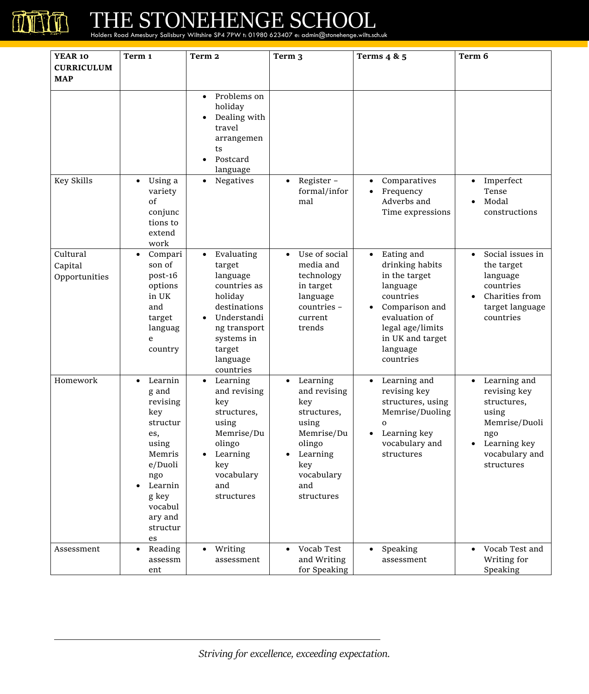

| <b>YEAR 10</b>                       | Term 1                                                                                                                                                               | Term <sub>2</sub>                                                                                                                                                        | Term <sub>3</sub>                                                                                                                                  | Terms $4 & 5$                                                                                                                                                                            | Term 6                                                                                                                                                 |
|--------------------------------------|----------------------------------------------------------------------------------------------------------------------------------------------------------------------|--------------------------------------------------------------------------------------------------------------------------------------------------------------------------|----------------------------------------------------------------------------------------------------------------------------------------------------|------------------------------------------------------------------------------------------------------------------------------------------------------------------------------------------|--------------------------------------------------------------------------------------------------------------------------------------------------------|
| <b>CURRICULUM</b>                    |                                                                                                                                                                      |                                                                                                                                                                          |                                                                                                                                                    |                                                                                                                                                                                          |                                                                                                                                                        |
| <b>MAP</b>                           |                                                                                                                                                                      |                                                                                                                                                                          |                                                                                                                                                    |                                                                                                                                                                                          |                                                                                                                                                        |
|                                      |                                                                                                                                                                      | Problems on<br>$\bullet$<br>holiday<br>Dealing with<br>travel<br>arrangemen<br>ts<br>Postcard<br>language                                                                |                                                                                                                                                    |                                                                                                                                                                                          |                                                                                                                                                        |
| Key Skills                           | Using a<br>$\bullet$<br>variety<br>of<br>conjunc<br>tions to<br>extend<br>work                                                                                       | Negatives<br>$\bullet$                                                                                                                                                   | Register-<br>$\bullet$<br>formal/infor<br>mal                                                                                                      | Comparatives<br>Frequency<br>Adverbs and<br>Time expressions                                                                                                                             | Imperfect<br>$\bullet$<br>Tense<br>Modal<br>$\bullet$<br>constructions                                                                                 |
| Cultural<br>Capital<br>Opportunities | Compari<br>$\bullet$<br>son of<br>post-16<br>options<br>in UK<br>and<br>target<br>languag<br>e<br>country                                                            | Evaluating<br>$\bullet$<br>target<br>language<br>countries as<br>holiday<br>destinations<br>Understandi<br>ng transport<br>systems in<br>target<br>language<br>countries | Use of social<br>$\bullet$<br>media and<br>technology<br>in target<br>language<br>countries -<br>current<br>trends                                 | Eating and<br>$\bullet$<br>drinking habits<br>in the target<br>language<br>countries<br>Comparison and<br>evaluation of<br>legal age/limits<br>in UK and target<br>language<br>countries | Social issues in<br>$\bullet$<br>the target<br>language<br>countries<br>Charities from<br>target language<br>countries                                 |
| Homework                             | Learnin<br>$\bullet$<br>g and<br>revising<br>key<br>structur<br>es,<br>using<br>Memris<br>e/Duoli<br>ngo<br>Learnin<br>g key<br>vocabul<br>ary and<br>structur<br>es | Learning<br>$\bullet$<br>and revising<br>key<br>structures,<br>using<br>Memrise/Du<br>olingo<br>Learning<br>key<br>vocabulary<br>and<br>structures                       | Learning<br>$\bullet$<br>and revising<br>key<br>structures,<br>using<br>Memrise/Du<br>olingo<br>Learning<br>key<br>vocabulary<br>and<br>structures | Learning and<br>$\bullet$<br>revising key<br>structures, using<br>Memrise/Duoling<br>$\mathbf{O}$<br>Learning key<br>vocabulary and<br>structures                                        | Learning and<br>$\bullet$<br>revising key<br>structures,<br>using<br>Memrise/Duoli<br>ngo<br>Learning key<br>$\bullet$<br>vocabulary and<br>structures |
| Assessment                           | Reading<br>$\bullet$<br>assessm<br>ent                                                                                                                               | Writing<br>$\bullet$<br>assessment                                                                                                                                       | Vocab Test<br>$\bullet$<br>and Writing<br>for Speaking                                                                                             | Speaking<br>$\bullet$<br>assessment                                                                                                                                                      | Vocab Test and<br>$\bullet$<br>Writing for<br>Speaking                                                                                                 |